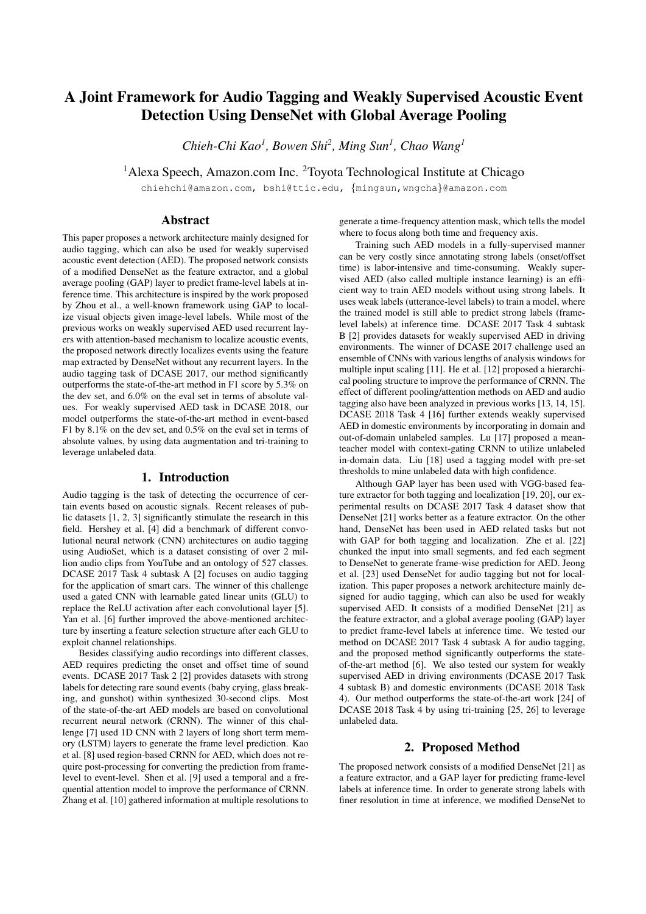# A Joint Framework for Audio Tagging and Weakly Supervised Acoustic Event Detection Using DenseNet with Global Average Pooling

*Chieh-Chi Kao<sup>1</sup> , Bowen Shi<sup>2</sup> , Ming Sun<sup>1</sup> , Chao Wang<sup>1</sup>*

<sup>1</sup> Alexa Speech, Amazon.com Inc. <sup>2</sup> Toyota Technological Institute at Chicago

chiehchi@amazon.com, bshi@ttic.edu, {mingsun,wngcha}@amazon.com

### Abstract

This paper proposes a network architecture mainly designed for audio tagging, which can also be used for weakly supervised acoustic event detection (AED). The proposed network consists of a modified DenseNet as the feature extractor, and a global average pooling (GAP) layer to predict frame-level labels at inference time. This architecture is inspired by the work proposed by Zhou et al., a well-known framework using GAP to localize visual objects given image-level labels. While most of the previous works on weakly supervised AED used recurrent layers with attention-based mechanism to localize acoustic events, the proposed network directly localizes events using the feature map extracted by DenseNet without any recurrent layers. In the audio tagging task of DCASE 2017, our method significantly outperforms the state-of-the-art method in F1 score by 5.3% on the dev set, and 6.0% on the eval set in terms of absolute values. For weakly supervised AED task in DCASE 2018, our model outperforms the state-of-the-art method in event-based F1 by 8.1% on the dev set, and 0.5% on the eval set in terms of absolute values, by using data augmentation and tri-training to leverage unlabeled data.

#### 1. Introduction

Audio tagging is the task of detecting the occurrence of certain events based on acoustic signals. Recent releases of public datasets [1, 2, 3] significantly stimulate the research in this field. Hershey et al. [4] did a benchmark of different convolutional neural network (CNN) architectures on audio tagging using AudioSet, which is a dataset consisting of over 2 million audio clips from YouTube and an ontology of 527 classes. DCASE 2017 Task 4 subtask A [2] focuses on audio tagging for the application of smart cars. The winner of this challenge used a gated CNN with learnable gated linear units (GLU) to replace the ReLU activation after each convolutional layer [5]. Yan et al. [6] further improved the above-mentioned architecture by inserting a feature selection structure after each GLU to exploit channel relationships.

Besides classifying audio recordings into different classes, AED requires predicting the onset and offset time of sound events. DCASE 2017 Task 2 [2] provides datasets with strong labels for detecting rare sound events (baby crying, glass breaking, and gunshot) within synthesized 30-second clips. Most of the state-of-the-art AED models are based on convolutional recurrent neural network (CRNN). The winner of this challenge [7] used 1D CNN with 2 layers of long short term memory (LSTM) layers to generate the frame level prediction. Kao et al. [8] used region-based CRNN for AED, which does not require post-processing for converting the prediction from framelevel to event-level. Shen et al. [9] used a temporal and a frequential attention model to improve the performance of CRNN. Zhang et al. [10] gathered information at multiple resolutions to generate a time-frequency attention mask, which tells the model where to focus along both time and frequency axis.

Training such AED models in a fully-supervised manner can be very costly since annotating strong labels (onset/offset time) is labor-intensive and time-consuming. Weakly supervised AED (also called multiple instance learning) is an efficient way to train AED models without using strong labels. It uses weak labels (utterance-level labels) to train a model, where the trained model is still able to predict strong labels (framelevel labels) at inference time. DCASE 2017 Task 4 subtask B [2] provides datasets for weakly supervised AED in driving environments. The winner of DCASE 2017 challenge used an ensemble of CNNs with various lengths of analysis windows for multiple input scaling [11]. He et al. [12] proposed a hierarchical pooling structure to improve the performance of CRNN. The effect of different pooling/attention methods on AED and audio tagging also have been analyzed in previous works [13, 14, 15]. DCASE 2018 Task 4 [16] further extends weakly supervised AED in domestic environments by incorporating in domain and out-of-domain unlabeled samples. Lu [17] proposed a meanteacher model with context-gating CRNN to utilize unlabeled in-domain data. Liu [18] used a tagging model with pre-set thresholds to mine unlabeled data with high confidence.

Although GAP layer has been used with VGG-based feature extractor for both tagging and localization [19, 20], our experimental results on DCASE 2017 Task 4 dataset show that DenseNet [21] works better as a feature extractor. On the other hand, DenseNet has been used in AED related tasks but not with GAP for both tagging and localization. Zhe et al. [22] chunked the input into small segments, and fed each segment to DenseNet to generate frame-wise prediction for AED. Jeong et al. [23] used DenseNet for audio tagging but not for localization. This paper proposes a network architecture mainly designed for audio tagging, which can also be used for weakly supervised AED. It consists of a modified DenseNet [21] as the feature extractor, and a global average pooling (GAP) layer to predict frame-level labels at inference time. We tested our method on DCASE 2017 Task 4 subtask A for audio tagging, and the proposed method significantly outperforms the stateof-the-art method [6]. We also tested our system for weakly supervised AED in driving environments (DCASE 2017 Task 4 subtask B) and domestic environments (DCASE 2018 Task 4). Our method outperforms the state-of-the-art work [24] of DCASE 2018 Task 4 by using tri-training [25, 26] to leverage unlabeled data.

#### 2. Proposed Method

The proposed network consists of a modified DenseNet [21] as a feature extractor, and a GAP layer for predicting frame-level labels at inference time. In order to generate strong labels with finer resolution in time at inference, we modified DenseNet to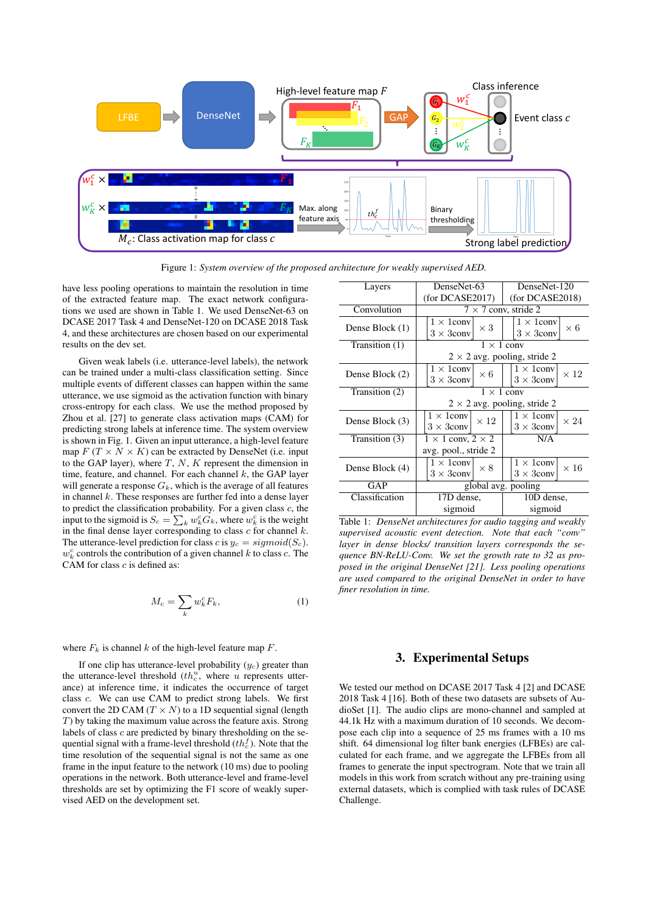

Figure 1: *System overview of the proposed architecture for weakly supervised AED.*

have less pooling operations to maintain the resolution in time of the extracted feature map. The exact network configurations we used are shown in Table 1. We used DenseNet-63 on DCASE 2017 Task 4 and DenseNet-120 on DCASE 2018 Task 4, and these architectures are chosen based on our experimental results on the dev set.

Given weak labels (i.e. utterance-level labels), the network can be trained under a multi-class classification setting. Since multiple events of different classes can happen within the same utterance, we use sigmoid as the activation function with binary cross-entropy for each class. We use the method proposed by Zhou et al. [27] to generate class activation maps (CAM) for predicting strong labels at inference time. The system overview is shown in Fig. 1. Given an input utterance, a high-level feature map  $F(T \times N \times K)$  can be extracted by DenseNet (i.e. input to the GAP layer), where  $T$ ,  $N$ ,  $K$  represent the dimension in time, feature, and channel. For each channel  $k$ , the GAP layer will generate a response  $G_k$ , which is the average of all features in channel  $k$ . These responses are further fed into a dense layer to predict the classification probability. For a given class  $c$ , the input to the sigmoid is  $S_c = \sum_k w_k^c G_k$ , where  $w_k^c$  is the weight in the final dense layer corresponding to class  $c$  for channel  $k$ . The utterance-level prediction for class c is  $y_c = sigmoid(S_c)$ .  $w_k^c$  controls the contribution of a given channel k to class c. The CAM for class  $c$  is defined as:

$$
M_c = \sum_k w_k^c F_k,\tag{1}
$$

where  $F_k$  is channel k of the high-level feature map F.

If one clip has utterance-level probability  $(y_c)$  greater than the utterance-level threshold  $(th_c^u,$  where u represents utterance) at inference time, it indicates the occurrence of target class c. We can use CAM to predict strong labels. We first convert the 2D CAM ( $T \times N$ ) to a 1D sequential signal (length  $T$ ) by taking the maximum value across the feature axis. Strong labels of class  $c$  are predicted by binary thresholding on the sequential signal with a frame-level threshold  $(th_c^f)$ . Note that the time resolution of the sequential signal is not the same as one frame in the input feature to the network (10 ms) due to pooling operations in the network. Both utterance-level and frame-level thresholds are set by optimizing the F1 score of weakly supervised AED on the development set.

| Layers          | DenseNet-63                         | DenseNet-120                     |  |
|-----------------|-------------------------------------|----------------------------------|--|
|                 | (for DCASE2017)                     | (for DCASE2018)                  |  |
| Convolution     | $7 \times 7$ conv, stride 2         |                                  |  |
| Dense Block (1) | $1 \times 1$ conv<br>$\times$ 3     | $1 \times 1$ conv<br>$\times 6$  |  |
|                 | $3 \times 3$ conv                   | $3 \times 3$ conv                |  |
| Transition (1)  | $1 \times 1$ conv                   |                                  |  |
|                 | $2 \times 2$ avg. pooling, stride 2 |                                  |  |
|                 | $1 \times 1$ conv<br>$\times 6$     | $1 \times 1$ conv<br>$\times$ 12 |  |
| Dense Block (2) | $3 \times 3$ conv                   | $3 \times 3$ conv                |  |
| Transition (2)  | $1 \times 1$ conv                   |                                  |  |
|                 | $2 \times 2$ avg. pooling, stride 2 |                                  |  |
| Dense Block (3) | $1 \times 1$ conv<br>$\times$ 12    | $1 \times 1$ conv<br>$\times 24$ |  |
|                 | $3 \times 3$ conv                   | $3 \times 3$ conv                |  |
| Transition (3)  | $1 \times 1$ conv, $2 \times 2$     | N/A                              |  |
|                 | avg. pool., stride 2                |                                  |  |
| Dense Block (4) | $1 \times 1$ conv<br>$\times 8$     | $1 \times 1$ conv<br>$\times$ 16 |  |
|                 | $3 \times 3$ conv                   | $3 \times 3$ conv                |  |
| GAP             | global avg. pooling                 |                                  |  |
| Classification  | 17D dense,                          | 10D dense,                       |  |
|                 | sigmoid                             | sigmoid                          |  |

Table 1: *DenseNet architectures for audio tagging and weakly supervised acoustic event detection. Note that each "conv" layer in dense blocks/ transition layers corresponds the sequence BN-ReLU-Conv. We set the growth rate to 32 as proposed in the original DenseNet [21]. Less pooling operations are used compared to the original DenseNet in order to have finer resolution in time.*

## 3. Experimental Setups

We tested our method on DCASE 2017 Task 4 [2] and DCASE 2018 Task 4 [16]. Both of these two datasets are subsets of AudioSet [1]. The audio clips are mono-channel and sampled at 44.1k Hz with a maximum duration of 10 seconds. We decompose each clip into a sequence of 25 ms frames with a 10 ms shift. 64 dimensional log filter bank energies (LFBEs) are calculated for each frame, and we aggregate the LFBEs from all frames to generate the input spectrogram. Note that we train all models in this work from scratch without any pre-training using external datasets, which is complied with task rules of DCASE Challenge.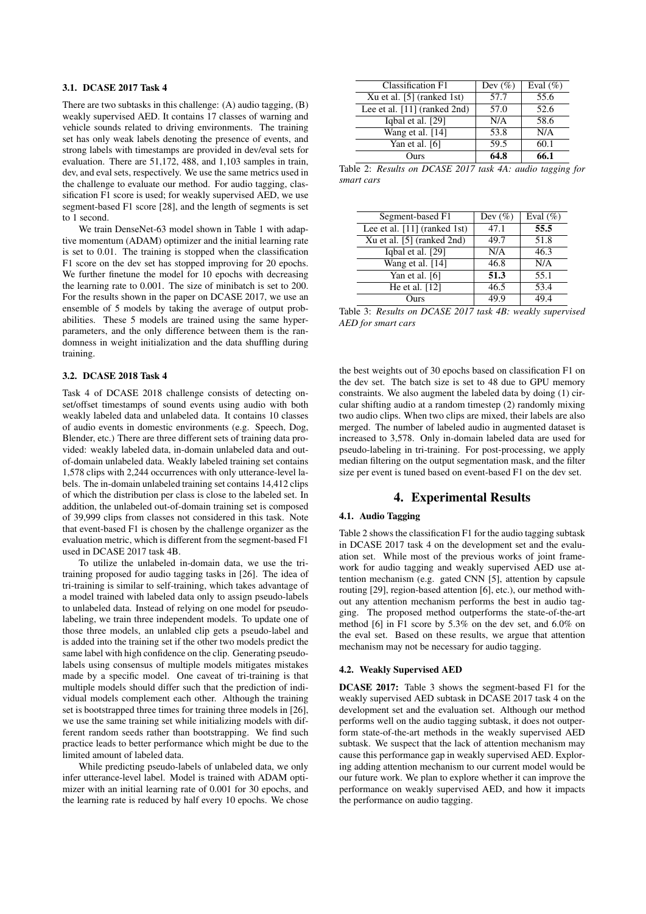#### 3.1. DCASE 2017 Task 4

There are two subtasks in this challenge: (A) audio tagging, (B) weakly supervised AED. It contains 17 classes of warning and vehicle sounds related to driving environments. The training set has only weak labels denoting the presence of events, and strong labels with timestamps are provided in dev/eval sets for evaluation. There are 51,172, 488, and 1,103 samples in train, dev, and eval sets, respectively. We use the same metrics used in the challenge to evaluate our method. For audio tagging, classification F1 score is used; for weakly supervised AED, we use segment-based F1 score [28], and the length of segments is set to 1 second.

We train DenseNet-63 model shown in Table 1 with adaptive momentum (ADAM) optimizer and the initial learning rate is set to 0.01. The training is stopped when the classification F1 score on the dev set has stopped improving for 20 epochs. We further finetune the model for 10 epochs with decreasing the learning rate to 0.001. The size of minibatch is set to 200. For the results shown in the paper on DCASE 2017, we use an ensemble of 5 models by taking the average of output probabilities. These 5 models are trained using the same hyperparameters, and the only difference between them is the randomness in weight initialization and the data shuffling during training.

### 3.2. DCASE 2018 Task 4

Task 4 of DCASE 2018 challenge consists of detecting onset/offset timestamps of sound events using audio with both weakly labeled data and unlabeled data. It contains 10 classes of audio events in domestic environments (e.g. Speech, Dog, Blender, etc.) There are three different sets of training data provided: weakly labeled data, in-domain unlabeled data and outof-domain unlabeled data. Weakly labeled training set contains 1,578 clips with 2,244 occurrences with only utterance-level labels. The in-domain unlabeled training set contains 14,412 clips of which the distribution per class is close to the labeled set. In addition, the unlabeled out-of-domain training set is composed of 39,999 clips from classes not considered in this task. Note that event-based F1 is chosen by the challenge organizer as the evaluation metric, which is different from the segment-based F1 used in DCASE 2017 task 4B.

To utilize the unlabeled in-domain data, we use the tritraining proposed for audio tagging tasks in [26]. The idea of tri-training is similar to self-training, which takes advantage of a model trained with labeled data only to assign pseudo-labels to unlabeled data. Instead of relying on one model for pseudolabeling, we train three independent models. To update one of those three models, an unlabled clip gets a pseudo-label and is added into the training set if the other two models predict the same label with high confidence on the clip. Generating pseudolabels using consensus of multiple models mitigates mistakes made by a specific model. One caveat of tri-training is that multiple models should differ such that the prediction of individual models complement each other. Although the training set is bootstrapped three times for training three models in [26], we use the same training set while initializing models with different random seeds rather than bootstrapping. We find such practice leads to better performance which might be due to the limited amount of labeled data.

While predicting pseudo-labels of unlabeled data, we only infer utterance-level label. Model is trained with ADAM optimizer with an initial learning rate of 0.001 for 30 epochs, and the learning rate is reduced by half every 10 epochs. We chose

| Classification F1              | Dev $(\%)$ | Eval $(\%)$ |
|--------------------------------|------------|-------------|
| Xu et al. $[5]$ (ranked 1st)   | 57.7       | 55.6        |
| Lee et al. $[11]$ (ranked 2nd) | 57.0       | 52.6        |
| Iqbal et al. [29]              | N/A        | 58.6        |
| Wang et al. [14]               | 53.8       | N/A         |
| Yan et al. $[6]$               | 59.5       | 60.1        |
| Ours                           | 64.8       | 66.1        |

Table 2: *Results on DCASE 2017 task 4A: audio tagging for smart cars*

| Segment-based F1               | Dev $(\%)$ | Eval $(\%)$ |
|--------------------------------|------------|-------------|
| Lee et al. $[11]$ (ranked 1st) | 47.1       | 55.5        |
| Xu et al. $[5]$ (ranked 2nd)   | 49.7       | 51.8        |
| Iqbal et al. [29]              | N/A        | 46.3        |
| Wang et al. [14]               | 46.8       | N/A         |
| Yan et al. $[6]$               | 51.3       | 55.1        |
| He et al. [12]                 | 46.5       | 53.4        |
| Ours                           | 49.9       | 49.4        |

Table 3: *Results on DCASE 2017 task 4B: weakly supervised AED for smart cars*

the best weights out of 30 epochs based on classification F1 on the dev set. The batch size is set to 48 due to GPU memory constraints. We also augment the labeled data by doing (1) circular shifting audio at a random timestep (2) randomly mixing two audio clips. When two clips are mixed, their labels are also merged. The number of labeled audio in augmented dataset is increased to 3,578. Only in-domain labeled data are used for pseudo-labeling in tri-training. For post-processing, we apply median filtering on the output segmentation mask, and the filter size per event is tuned based on event-based F1 on the dev set.

#### 4. Experimental Results

#### 4.1. Audio Tagging

Table 2 shows the classification F1 for the audio tagging subtask in DCASE 2017 task 4 on the development set and the evaluation set. While most of the previous works of joint framework for audio tagging and weakly supervised AED use attention mechanism (e.g. gated CNN [5], attention by capsule routing [29], region-based attention [6], etc.), our method without any attention mechanism performs the best in audio tagging. The proposed method outperforms the state-of-the-art method [6] in F1 score by 5.3% on the dev set, and 6.0% on the eval set. Based on these results, we argue that attention mechanism may not be necessary for audio tagging.

#### 4.2. Weakly Supervised AED

DCASE 2017: Table 3 shows the segment-based F1 for the weakly supervised AED subtask in DCASE 2017 task 4 on the development set and the evaluation set. Although our method performs well on the audio tagging subtask, it does not outperform state-of-the-art methods in the weakly supervised AED subtask. We suspect that the lack of attention mechanism may cause this performance gap in weakly supervised AED. Exploring adding attention mechanism to our current model would be our future work. We plan to explore whether it can improve the performance on weakly supervised AED, and how it impacts the performance on audio tagging.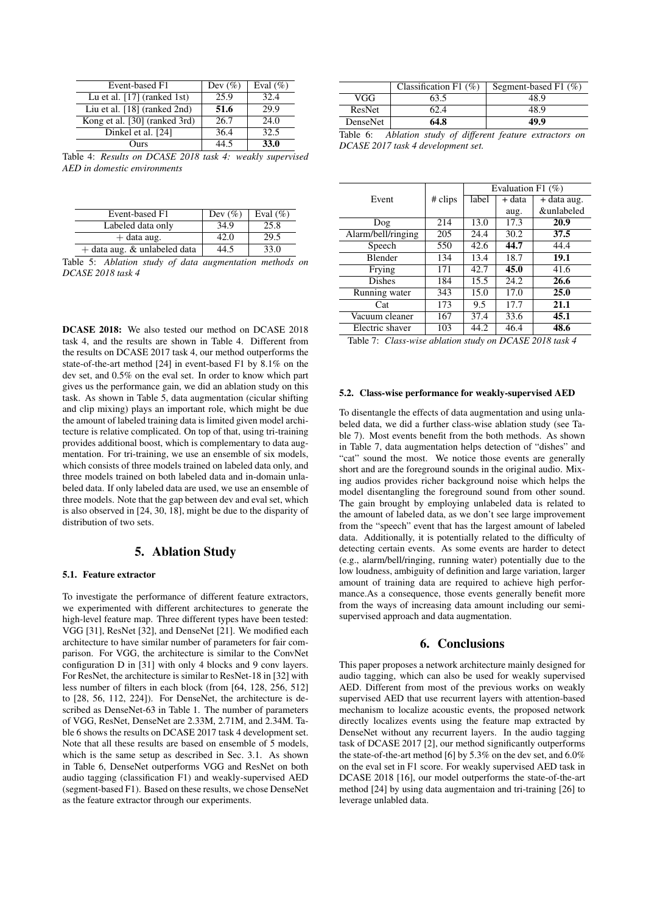| Event-based F1                | Dev $(\%)$ | Eval $(\%)$ |
|-------------------------------|------------|-------------|
| Lu et al. $[17]$ (ranked 1st) | 25.9       | 32.4        |
| Liu et al. [18] (ranked 2nd)  | 51.6       | 29.9        |
| Kong et al. [30] (ranked 3rd) | 26.7       | 24.0        |
| Dinkel et al. [24]            | 36.4       | 32.5        |
| Durs)                         |            | 33.0        |

Table 4: *Results on DCASE 2018 task 4: weakly supervised AED in domestic environments*

| Event-based F1                 | Dev $(\%)$ | Eval $(\%)$ |
|--------------------------------|------------|-------------|
| Labeled data only              | 34.9       | 25.8        |
| $+$ data aug.                  | 42.0       | 29.5        |
| $+$ data aug. & unlabeled data | 44.5       | 33.0        |

Table 5: *Ablation study of data augmentation methods on DCASE 2018 task 4*

DCASE 2018: We also tested our method on DCASE 2018 task 4, and the results are shown in Table 4. Different from the results on DCASE 2017 task 4, our method outperforms the state-of-the-art method [24] in event-based F1 by 8.1% on the dev set, and 0.5% on the eval set. In order to know which part gives us the performance gain, we did an ablation study on this task. As shown in Table 5, data augmentation (cicular shifting and clip mixing) plays an important role, which might be due the amount of labeled training data is limited given model architecture is relative complicated. On top of that, using tri-training provides additional boost, which is complementary to data augmentation. For tri-training, we use an ensemble of six models, which consists of three models trained on labeled data only, and three models trained on both labeled data and in-domain unlabeled data. If only labeled data are used, we use an ensemble of three models. Note that the gap between dev and eval set, which is also observed in [24, 30, 18], might be due to the disparity of distribution of two sets.

## 5. Ablation Study

#### 5.1. Feature extractor

To investigate the performance of different feature extractors, we experimented with different architectures to generate the high-level feature map. Three different types have been tested: VGG [31], ResNet [32], and DenseNet [21]. We modified each architecture to have similar number of parameters for fair comparison. For VGG, the architecture is similar to the ConvNet configuration D in [31] with only 4 blocks and 9 conv layers. For ResNet, the architecture is similar to ResNet-18 in [32] with less number of filters in each block (from [64, 128, 256, 512] to [28, 56, 112, 224]). For DenseNet, the architecture is described as DenseNet-63 in Table 1. The number of parameters of VGG, ResNet, DenseNet are 2.33M, 2.71M, and 2.34M. Table 6 shows the results on DCASE 2017 task 4 development set. Note that all these results are based on ensemble of 5 models, which is the same setup as described in Sec. 3.1. As shown in Table 6, DenseNet outperforms VGG and ResNet on both audio tagging (classification F1) and weakly-supervised AED (segment-based F1). Based on these results, we chose DenseNet as the feature extractor through our experiments.

| VGG<br>63.5      | 48.9 |
|------------------|------|
|                  |      |
| ResNet<br>62.4   | 48.9 |
| 64.8<br>DenseNet | 49.9 |

Table 6: *Ablation study of different feature extractors on DCASE 2017 task 4 development set.*

|                    |         | Evaluation F1 $(\%)$ |        |             |
|--------------------|---------|----------------------|--------|-------------|
| Event              | # clips | label                | + data | + data aug. |
|                    |         |                      | aug.   | &unlabeled  |
| Dog                | 214     | 13.0                 | 17.3   | 20.9        |
| Alarm/bell/ringing | 205     | 24.4                 | 30.2   | 37.5        |
| Speech             | 550     | 42.6                 | 44.7   | 44.4        |
| Blender            | 134     | 13.4                 | 18.7   | 19.1        |
| Frying             | 171     | 42.7                 | 45.0   | 41.6        |
| <b>Dishes</b>      | 184     | 15.5                 | 24.2   | 26.6        |
| Running water      | 343     | 15.0                 | 17.0   | 25.0        |
| Cat                | 173     | 9.5                  | 17.7   | 21.1        |
| Vacuum cleaner     | 167     | 37.4                 | 33.6   | 45.1        |
| Electric shaver    | 103     | 44.2                 | 46.4   | 48.6        |

Table 7: *Class-wise ablation study on DCASE 2018 task 4*

#### 5.2. Class-wise performance for weakly-supervised AED

To disentangle the effects of data augmentation and using unlabeled data, we did a further class-wise ablation study (see Table 7). Most events benefit from the both methods. As shown in Table 7, data augmentation helps detection of "dishes" and "cat" sound the most. We notice those events are generally short and are the foreground sounds in the original audio. Mixing audios provides richer background noise which helps the model disentangling the foreground sound from other sound. The gain brought by employing unlabeled data is related to the amount of labeled data, as we don't see large improvement from the "speech" event that has the largest amount of labeled data. Additionally, it is potentially related to the difficulty of detecting certain events. As some events are harder to detect (e.g., alarm/bell/ringing, running water) potentially due to the low loudness, ambiguity of definition and large variation, larger amount of training data are required to achieve high performance.As a consequence, those events generally benefit more from the ways of increasing data amount including our semisupervised approach and data augmentation.

## 6. Conclusions

This paper proposes a network architecture mainly designed for audio tagging, which can also be used for weakly supervised AED. Different from most of the previous works on weakly supervised AED that use recurrent layers with attention-based mechanism to localize acoustic events, the proposed network directly localizes events using the feature map extracted by DenseNet without any recurrent layers. In the audio tagging task of DCASE 2017 [2], our method significantly outperforms the state-of-the-art method [6] by 5.3% on the dev set, and 6.0% on the eval set in F1 score. For weakly supervised AED task in DCASE 2018 [16], our model outperforms the state-of-the-art method [24] by using data augmentaion and tri-training [26] to leverage unlabled data.